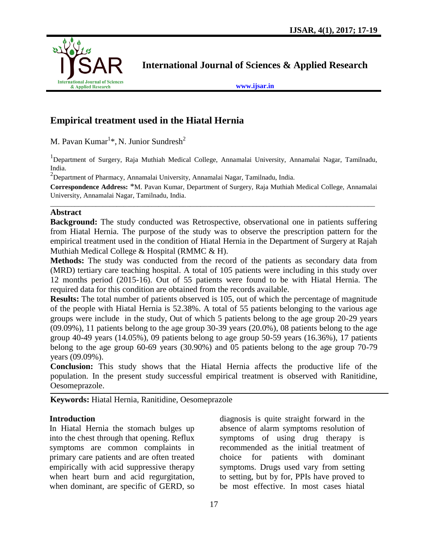

**International Journal of Sciences & Applied Research**

**[www.ijsar.in](http://www.ijsar.in/)**

# **Empirical treatment used in the Hiatal Hernia**

M. Pavan Kumar $^{1*}$ , N. Junior Sundresh $^{2}$ 

<sup>1</sup>Department of Surgery, Raja Muthiah Medical College, Annamalai University, Annamalai Nagar, Tamilnadu, India.

 $^{2}$ Department of Pharmacy, Annamalai University, Annamalai Nagar, Tamilnadu, India.

**Correspondence Address:** \*M. Pavan Kumar, Department of Surgery, Raja Muthiah Medical College, Annamalai University, Annamalai Nagar, Tamilnadu, India.  $\overline{a_1}$  ,  $\overline{a_2}$  ,  $\overline{a_3}$  ,  $\overline{a_4}$  ,  $\overline{a_5}$  ,  $\overline{a_6}$  ,  $\overline{a_7}$  ,  $\overline{a_8}$  ,  $\overline{a_9}$  ,  $\overline{a_9}$  ,  $\overline{a_9}$  ,  $\overline{a_9}$  ,  $\overline{a_9}$  ,  $\overline{a_9}$  ,  $\overline{a_9}$  ,  $\overline{a_9}$  ,  $\overline{a_9}$  ,

#### **Abstract**

**Background:** The study conducted was Retrospective, observational one in patients suffering from Hiatal Hernia. The purpose of the study was to observe the prescription pattern for the empirical treatment used in the condition of Hiatal Hernia in the Department of Surgery at Rajah Muthiah Medical College & Hospital (RMMC & H).

**Methods:** The study was conducted from the record of the patients as secondary data from (MRD) tertiary care teaching hospital. A total of 105 patients were including in this study over 12 months period (2015-16). Out of 55 patients were found to be with Hiatal Hernia. The required data for this condition are obtained from the records available.

**Results:** The total number of patients observed is 105, out of which the percentage of magnitude of the people with Hiatal Hernia is 52.38%. A total of 55 patients belonging to the various age groups were include in the study, Out of which 5 patients belong to the age group 20-29 years (09.09%), 11 patients belong to the age group 30-39 years (20.0%), 08 patients belong to the age group 40-49 years (14.05%), 09 patients belong to age group 50-59 years (16.36%), 17 patients belong to the age group 60-69 years (30.90%) and 05 patients belong to the age group 70-79 years (09.09%).

**Conclusion:** This study shows that the Hiatal Hernia affects the productive life of the population. In the present study successful empirical treatment is observed with Ranitidine, Oesomeprazole.

**Keywords:** Hiatal Hernia, Ranitidine, Oesomeprazole

#### **Introduction**

In Hiatal Hernia the stomach bulges up into the chest through that opening. Reflux symptoms are common complaints in primary care patients and are often treated empirically with acid suppressive therapy when heart burn and acid regurgitation, when dominant, are specific of GERD, so

diagnosis is quite straight forward in the absence of alarm symptoms resolution of symptoms of using drug therapy is recommended as the initial treatment of choice for patients with dominant symptoms. Drugs used vary from setting to setting, but by for, PPIs have proved to be most effective. In most cases hiatal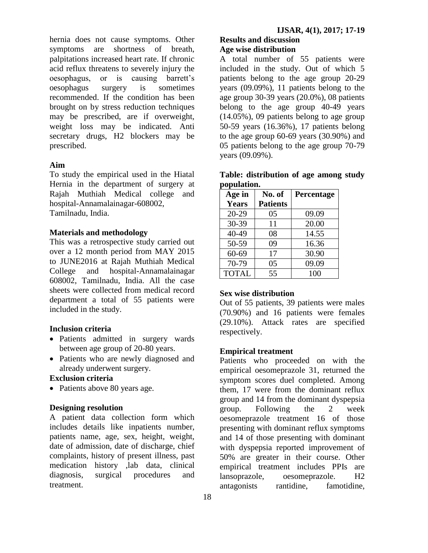hernia does not cause symptoms. Other symptoms are shortness of breath, palpitations increased heart rate. If chronic acid reflux threatens to severely injury the oesophagus, or is causing barrett's oesophagus surgery is sometimes recommended. If the condition has been brought on by stress reduction techniques may be prescribed, are if overweight, weight loss may be indicated. Anti secretary drugs, H2 blockers may be prescribed.

## **Aim**

To study the empirical used in the Hiatal Hernia in the department of surgery at Rajah Muthiah Medical college and hospital-Annamalainagar-608002, Tamilnadu, India.

## **Materials and methodology**

This was a retrospective study carried out over a 12 month period from MAY 2015 to JUNE2016 at Rajah Muthiah Medical College and hospital-Annamalainagar 608002, Tamilnadu, India. All the case sheets were collected from medical record department a total of 55 patients were included in the study.

# **Inclusion criteria**

- Patients admitted in surgery wards between age group of 20-80 years.
- Patients who are newly diagnosed and already underwent surgery.

# **Exclusion criteria**

• Patients above 80 years age.

## **Designing resolution**

A patient data collection form which includes details like inpatients number, patients name, age, sex, height, weight, date of admission, date of discharge, chief complaints, history of present illness, past medication history ,lab data, clinical diagnosis, surgical procedures and treatment.

## **Results and discussion Age wise distribution**

A total number of 55 patients were included in the study. Out of which 5 patients belong to the age group 20-29 years (09.09%), 11 patients belong to the age group 30-39 years (20.0%), 08 patients belong to the age group 40-49 years (14.05%), 09 patients belong to age group 50-59 years (16.36%), 17 patients belong to the age group 60-69 years (30.90%) and 05 patients belong to the age group 70-79 years (09.09%).

|             | Table: distribution of age among study |  |  |
|-------------|----------------------------------------|--|--|
| population. |                                        |  |  |

| Age in       | No. of          | Percentage |  |
|--------------|-----------------|------------|--|
| <b>Years</b> | <b>Patients</b> |            |  |
| $20 - 29$    | 05              | 09.09      |  |
| 30-39        | 11              | 20.00      |  |
| $40 - 49$    | 08              | 14.55      |  |
| 50-59        | 09              | 16.36      |  |
| 60-69        | 17              | 30.90      |  |
| 70-79        | 05              | 09.09      |  |
| <b>TOTAL</b> | 55              | 100        |  |

## **Sex wise distribution**

Out of 55 patients, 39 patients were males (70.90%) and 16 patients were females (29.10%). Attack rates are specified respectively.

## **Empirical treatment**

Patients who proceeded on with the empirical oesomeprazole 31, returned the symptom scores duel completed. Among them, 17 were from the dominant reflux group and 14 from the dominant dyspepsia group. Following the 2 week oesomeprazole treatment 16 of those presenting with dominant reflux symptoms and 14 of those presenting with dominant with dyspepsia reported improvement of 50% are greater in their course. Other empirical treatment includes PPIs are lansoprazole, oesomeprazole. H2 antagonists rantidine, famotidine,